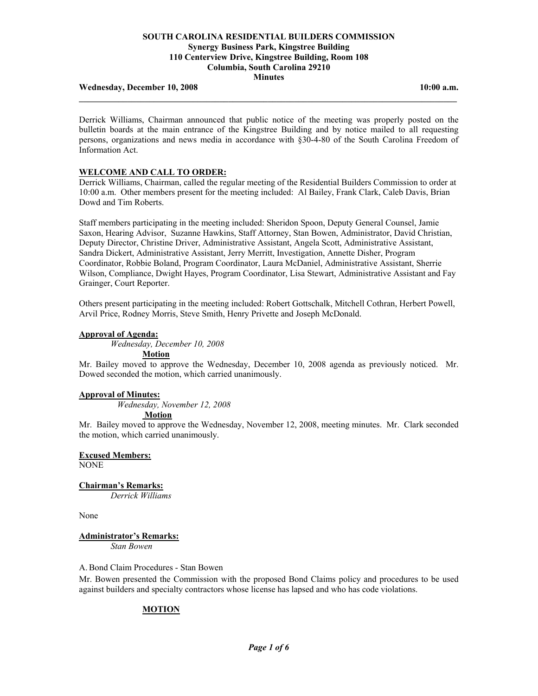#### Wednesday, December 10, 2008 **10:00 a.m. 10:00 a.m.**

Derrick Williams, Chairman announced that public notice of the meeting was properly posted on the bulletin boards at the main entrance of the Kingstree Building and by notice mailed to all requesting persons, organizations and news media in accordance with §30-4-80 of the South Carolina Freedom of Information Act.

**\_\_\_\_\_\_\_\_\_\_\_\_\_\_\_\_\_\_\_\_\_\_\_\_\_\_\_\_\_\_\_\_\_\_\_\_\_\_\_\_\_\_\_\_\_\_\_\_\_\_\_\_\_\_\_\_\_\_\_\_\_\_\_\_\_\_\_\_\_\_\_\_\_\_\_\_\_\_\_\_\_\_\_\_\_\_** 

#### **WELCOME AND CALL TO ORDER:**

Derrick Williams, Chairman, called the regular meeting of the Residential Builders Commission to order at 10:00 a.m. Other members present for the meeting included: Al Bailey, Frank Clark, Caleb Davis, Brian Dowd and Tim Roberts.

Staff members participating in the meeting included: Sheridon Spoon, Deputy General Counsel, Jamie Saxon, Hearing Advisor, Suzanne Hawkins, Staff Attorney, Stan Bowen, Administrator, David Christian, Deputy Director, Christine Driver, Administrative Assistant, Angela Scott, Administrative Assistant, Sandra Dickert, Administrative Assistant, Jerry Merritt, Investigation, Annette Disher, Program Coordinator, Robbie Boland, Program Coordinator, Laura McDaniel, Administrative Assistant, Sherrie Wilson, Compliance, Dwight Hayes, Program Coordinator, Lisa Stewart, Administrative Assistant and Fay Grainger, Court Reporter.

Others present participating in the meeting included: Robert Gottschalk, Mitchell Cothran, Herbert Powell, Arvil Price, Rodney Morris, Steve Smith, Henry Privette and Joseph McDonald.

#### **Approval of Agenda:**

 *Wednesday, December 10, 2008* 

 **Motion**

Mr. Bailey moved to approve the Wednesday, December 10, 2008 agenda as previously noticed. Mr. Dowed seconded the motion, which carried unanimously.

#### **Approval of Minutes:**

*Wednesday, November 12, 2008* 

**Motion**

Mr. Bailey moved to approve the Wednesday, November 12, 2008, meeting minutes. Mr. Clark seconded the motion, which carried unanimously.

**Excused Members:**

**NONE** 

**Chairman's Remarks:**

 *Derrick Williams*

None

# **Administrator's Remarks:**

*Stan Bowen*

#### A. Bond Claim Procedures - Stan Bowen

Mr. Bowen presented the Commission with the proposed Bond Claims policy and procedures to be used against builders and specialty contractors whose license has lapsed and who has code violations.

# **MOTION**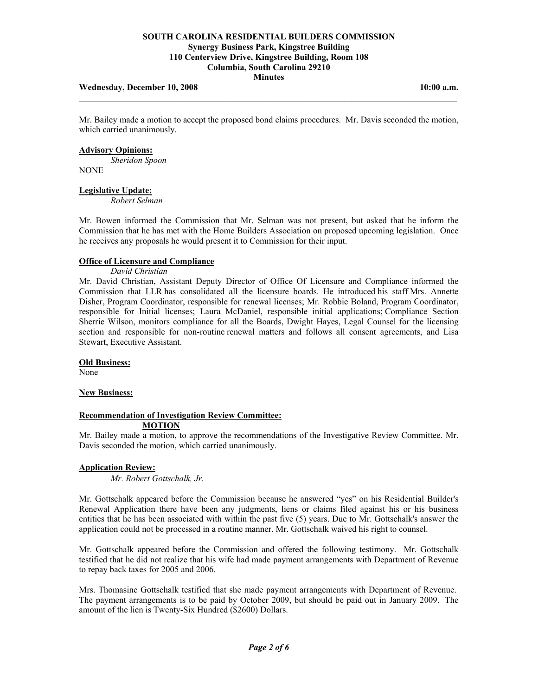## Wednesday, December 10, 2008 **10:00 a.m. 10:00 a.m.**

Mr. Bailey made a motion to accept the proposed bond claims procedures. Mr. Davis seconded the motion, which carried unanimously.

**\_\_\_\_\_\_\_\_\_\_\_\_\_\_\_\_\_\_\_\_\_\_\_\_\_\_\_\_\_\_\_\_\_\_\_\_\_\_\_\_\_\_\_\_\_\_\_\_\_\_\_\_\_\_\_\_\_\_\_\_\_\_\_\_\_\_\_\_\_\_\_\_\_\_\_\_\_\_\_\_\_\_\_\_\_\_** 

#### **Advisory Opinions:**

 *Sheridon Spoon* NONE

# **Legislative Update:**

 *Robert Selman* 

Mr. Bowen informed the Commission that Mr. Selman was not present, but asked that he inform the Commission that he has met with the Home Builders Association on proposed upcoming legislation. Once he receives any proposals he would present it to Commission for their input.

#### **Office of Licensure and Compliance**

 *David Christian* 

Mr. David Christian, Assistant Deputy Director of Office Of Licensure and Compliance informed the Commission that LLR has consolidated all the licensure boards. He introduced his staff Mrs. Annette Disher, Program Coordinator, responsible for renewal licenses; Mr. Robbie Boland, Program Coordinator, responsible for Initial licenses; Laura McDaniel, responsible initial applications; Compliance Section Sherrie Wilson, monitors compliance for all the Boards, Dwight Hayes, Legal Counsel for the licensing section and responsible for non-routine renewal matters and follows all consent agreements, and Lisa Stewart, Executive Assistant.

#### **Old Business:**

None

#### **New Business:**

#### **Recommendation of Investigation Review Committee: MOTION**

Mr. Bailey made a motion, to approve the recommendations of the Investigative Review Committee. Mr. Davis seconded the motion, which carried unanimously.

#### **Application Review:**

*Mr. Robert Gottschalk, Jr.* 

Mr. Gottschalk appeared before the Commission because he answered "yes" on his Residential Builder's Renewal Application there have been any judgments, liens or claims filed against his or his business entities that he has been associated with within the past five (5) years. Due to Mr. Gottschalk's answer the application could not be processed in a routine manner. Mr. Gottschalk waived his right to counsel.

Mr. Gottschalk appeared before the Commission and offered the following testimony. Mr. Gottschalk testified that he did not realize that his wife had made payment arrangements with Department of Revenue to repay back taxes for 2005 and 2006.

Mrs. Thomasine Gottschalk testified that she made payment arrangements with Department of Revenue. The payment arrangements is to be paid by October 2009, but should be paid out in January 2009. The amount of the lien is Twenty-Six Hundred (\$2600) Dollars.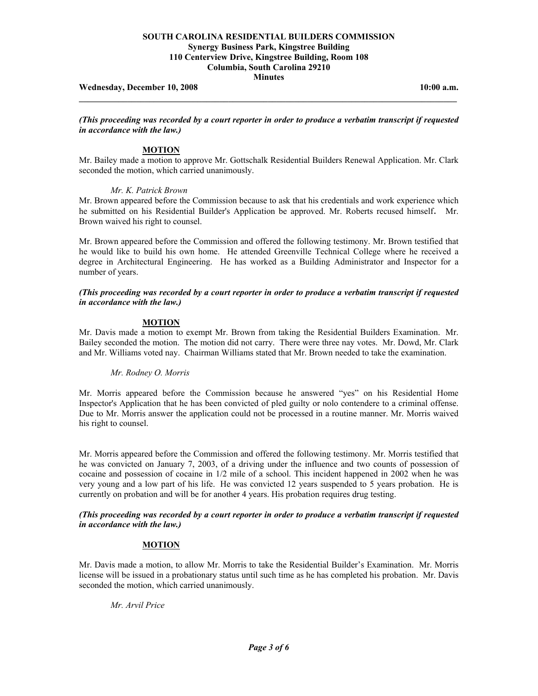Wednesday, December 10, 2008 **10:00 a.m. 10:00 a.m.** 

*(This proceeding was recorded by a court reporter in order to produce a verbatim transcript if requested in accordance with the law.)* 

**\_\_\_\_\_\_\_\_\_\_\_\_\_\_\_\_\_\_\_\_\_\_\_\_\_\_\_\_\_\_\_\_\_\_\_\_\_\_\_\_\_\_\_\_\_\_\_\_\_\_\_\_\_\_\_\_\_\_\_\_\_\_\_\_\_\_\_\_\_\_\_\_\_\_\_\_\_\_\_\_\_\_\_\_\_\_** 

# **MOTION**

Mr. Bailey made a motion to approve Mr. Gottschalk Residential Builders Renewal Application. Mr. Clark seconded the motion, which carried unanimously.

## *Mr. K. Patrick Brown*

Mr. Brown appeared before the Commission because to ask that his credentials and work experience which he submitted on his Residential Builder's Application be approved. Mr. Roberts recused himself. Mr. Brown waived his right to counsel.

Mr. Brown appeared before the Commission and offered the following testimony. Mr. Brown testified that he would like to build his own home. He attended Greenville Technical College where he received a degree in Architectural Engineering. He has worked as a Building Administrator and Inspector for a number of years.

*(This proceeding was recorded by a court reporter in order to produce a verbatim transcript if requested in accordance with the law.)* 

## **MOTION**

Mr. Davis made a motion to exempt Mr. Brown from taking the Residential Builders Examination. Mr. Bailey seconded the motion. The motion did not carry. There were three nay votes. Mr. Dowd, Mr. Clark and Mr. Williams voted nay. Chairman Williams stated that Mr. Brown needed to take the examination.

# *Mr. Rodney O. Morris*

Mr. Morris appeared before the Commission because he answered "yes" on his Residential Home Inspector's Application that he has been convicted of pled guilty or nolo contendere to a criminal offense. Due to Mr. Morris answer the application could not be processed in a routine manner. Mr. Morris waived his right to counsel.

Mr. Morris appeared before the Commission and offered the following testimony. Mr. Morris testified that he was convicted on January 7, 2003, of a driving under the influence and two counts of possession of cocaine and possession of cocaine in 1/2 mile of a school. This incident happened in 2002 when he was very young and a low part of his life. He was convicted 12 years suspended to 5 years probation. He is currently on probation and will be for another 4 years. His probation requires drug testing.

#### *(This proceeding was recorded by a court reporter in order to produce a verbatim transcript if requested in accordance with the law.)*

#### **MOTION**

Mr. Davis made a motion, to allow Mr. Morris to take the Residential Builder's Examination. Mr. Morris license will be issued in a probationary status until such time as he has completed his probation. Mr. Davis seconded the motion, which carried unanimously.

#### *Mr. Arvil Price*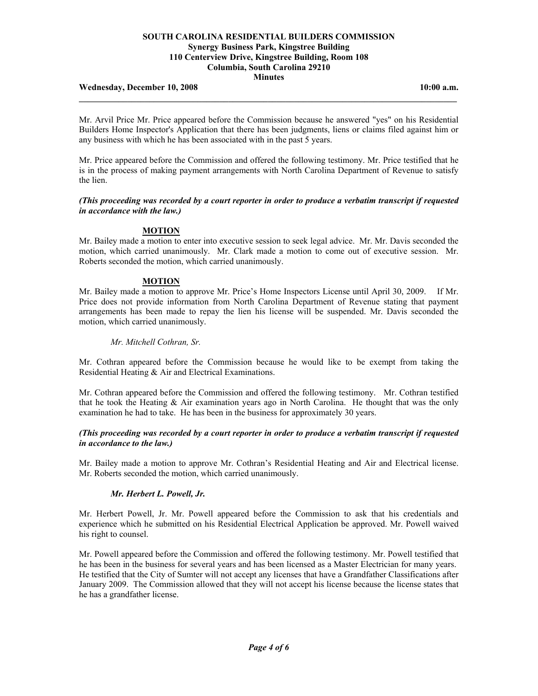#### Wednesday, December 10, 2008 **10:00 a.m. 10:00 a.m.**

Mr. Arvil Price Mr. Price appeared before the Commission because he answered "yes" on his Residential Builders Home Inspector's Application that there has been judgments, liens or claims filed against him or any business with which he has been associated with in the past 5 years.

**\_\_\_\_\_\_\_\_\_\_\_\_\_\_\_\_\_\_\_\_\_\_\_\_\_\_\_\_\_\_\_\_\_\_\_\_\_\_\_\_\_\_\_\_\_\_\_\_\_\_\_\_\_\_\_\_\_\_\_\_\_\_\_\_\_\_\_\_\_\_\_\_\_\_\_\_\_\_\_\_\_\_\_\_\_\_** 

Mr. Price appeared before the Commission and offered the following testimony. Mr. Price testified that he is in the process of making payment arrangements with North Carolina Department of Revenue to satisfy the lien.

#### *(This proceeding was recorded by a court reporter in order to produce a verbatim transcript if requested in accordance with the law.)*

#### **MOTION**

Mr. Bailey made a motion to enter into executive session to seek legal advice. Mr. Mr. Davis seconded the motion, which carried unanimously. Mr. Clark made a motion to come out of executive session. Mr. Roberts seconded the motion, which carried unanimously.

#### **MOTION**

Mr. Bailey made a motion to approve Mr. Price's Home Inspectors License until April 30, 2009. If Mr. Price does not provide information from North Carolina Department of Revenue stating that payment arrangements has been made to repay the lien his license will be suspended. Mr. Davis seconded the motion, which carried unanimously.

 *Mr. Mitchell Cothran, Sr.* 

Mr. Cothran appeared before the Commission because he would like to be exempt from taking the Residential Heating & Air and Electrical Examinations.

Mr. Cothran appeared before the Commission and offered the following testimony. Mr. Cothran testified that he took the Heating  $\&$  Air examination years ago in North Carolina. He thought that was the only examination he had to take. He has been in the business for approximately 30 years.

## *(This proceeding was recorded by a court reporter in order to produce a verbatim transcript if requested in accordance to the law.)*

Mr. Bailey made a motion to approve Mr. Cothran's Residential Heating and Air and Electrical license. Mr. Roberts seconded the motion, which carried unanimously.

## *Mr. Herbert L. Powell, Jr.*

Mr. Herbert Powell, Jr. Mr. Powell appeared before the Commission to ask that his credentials and experience which he submitted on his Residential Electrical Application be approved. Mr. Powell waived his right to counsel.

Mr. Powell appeared before the Commission and offered the following testimony. Mr. Powell testified that he has been in the business for several years and has been licensed as a Master Electrician for many years. He testified that the City of Sumter will not accept any licenses that have a Grandfather Classifications after January 2009. The Commission allowed that they will not accept his license because the license states that he has a grandfather license.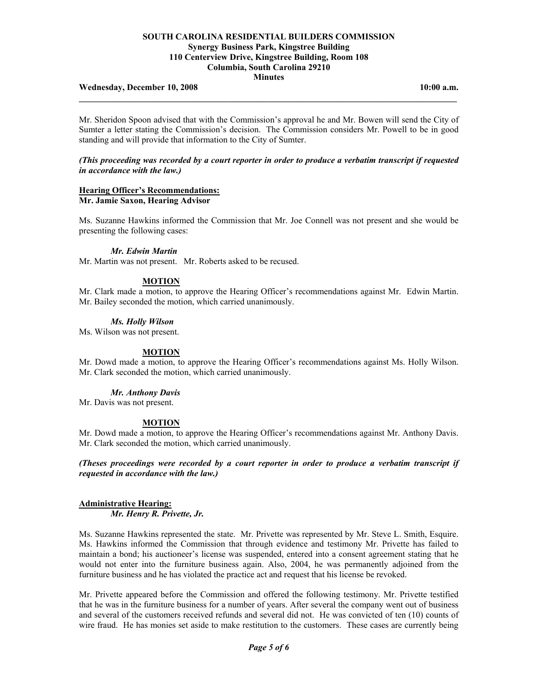#### Wednesday, December 10, 2008 **10:00 a.m. 10:00 a.m.**

Mr. Sheridon Spoon advised that with the Commission's approval he and Mr. Bowen will send the City of Sumter a letter stating the Commission's decision. The Commission considers Mr. Powell to be in good standing and will provide that information to the City of Sumter.

**\_\_\_\_\_\_\_\_\_\_\_\_\_\_\_\_\_\_\_\_\_\_\_\_\_\_\_\_\_\_\_\_\_\_\_\_\_\_\_\_\_\_\_\_\_\_\_\_\_\_\_\_\_\_\_\_\_\_\_\_\_\_\_\_\_\_\_\_\_\_\_\_\_\_\_\_\_\_\_\_\_\_\_\_\_\_** 

#### *(This proceeding was recorded by a court reporter in order to produce a verbatim transcript if requested in accordance with the law.)*

# **Hearing Officer's Recommendations:**

# **Mr. Jamie Saxon, Hearing Advisor**

Ms. Suzanne Hawkins informed the Commission that Mr. Joe Connell was not present and she would be presenting the following cases:

## *Mr. Edwin Martin*

Mr. Martin was not present. Mr. Roberts asked to be recused.

# **MOTION**

Mr. Clark made a motion, to approve the Hearing Officer's recommendations against Mr. Edwin Martin. Mr. Bailey seconded the motion, which carried unanimously.

#### *Ms. Holly Wilson*

Ms. Wilson was not present.

#### **MOTION**

Mr. Dowd made a motion, to approve the Hearing Officer's recommendations against Ms. Holly Wilson. Mr. Clark seconded the motion, which carried unanimously.

### *Mr. Anthony Davis*

Mr. Davis was not present.

#### **MOTION**

Mr. Dowd made a motion, to approve the Hearing Officer's recommendations against Mr. Anthony Davis. Mr. Clark seconded the motion, which carried unanimously.

*(Theses proceedings were recorded by a court reporter in order to produce a verbatim transcript if requested in accordance with the law.)* 

# **Administrative Hearing:**

 *Mr. Henry R. Privette, Jr.* 

Ms. Suzanne Hawkins represented the state. Mr. Privette was represented by Mr. Steve L. Smith, Esquire. Ms. Hawkins informed the Commission that through evidence and testimony Mr. Privette has failed to maintain a bond; his auctioneer's license was suspended, entered into a consent agreement stating that he would not enter into the furniture business again. Also, 2004, he was permanently adjoined from the furniture business and he has violated the practice act and request that his license be revoked.

Mr. Privette appeared before the Commission and offered the following testimony. Mr. Privette testified that he was in the furniture business for a number of years. After several the company went out of business and several of the customers received refunds and several did not. He was convicted of ten (10) counts of wire fraud. He has monies set aside to make restitution to the customers. These cases are currently being